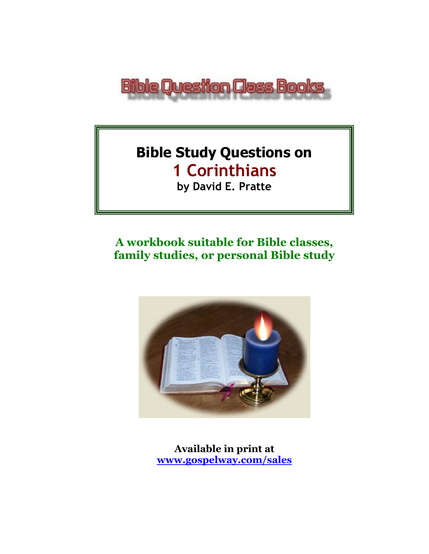

# **Bible Study Questions on 1 Corinthians**

**by David E. Pratte**

# **A workbook suitable for Bible classes, family studies, or personal Bible study**



**Available in print at [www.gospelway.com/sales](https://www.gospelway.com/sales)**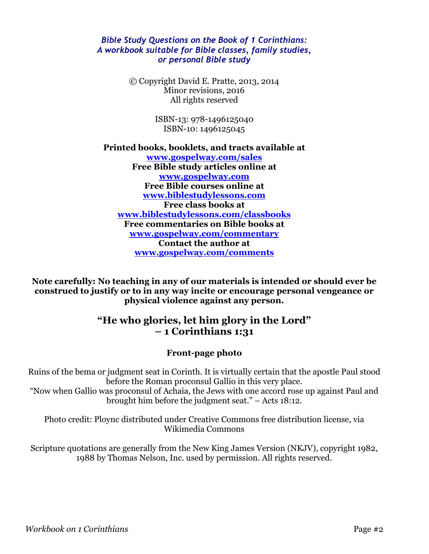#### *Bible Study Questions on the Book of 1 Corinthians: A workbook suitable for Bible classes, family studies, or personal Bible study*

© Copyright David E. Pratte, 2013, 2014 Minor revisions, 2016 All rights reserved

> ISBN-13: 978-1496125040 ISBN-10: 1496125045

**Printed books, booklets, and tracts available at [www.gospelway.com/sales](https://www.gospelway.com/sales) Free Bible study articles online at [www.gospelway.com](http://www.gospelway.com/) Free Bible courses online at [www.biblestudylessons.com](http://www.biblestudylessons.com/) Free class books at [www.biblestudylessons.com/classbooks](http://www.biblestudylessons.com/classbooks) Free commentaries on Bible books at [www.gospelway.com/commentary](http://www.gospelway.com/commentary) Contact the author at [www.gospelway.com/comments](http://www.gospelway.com/comments)**

**Note carefully: No teaching in any of our materials is intended or should ever be construed to justify or to in any way incite or encourage personal vengeance or physical violence against any person.**

#### **"He who glories, let him glory in the Lord" – 1 Corinthians 1:31**

#### **Front-page photo**

Ruins of the bema or judgment seat in Corinth. It is virtually certain that the apostle Paul stood before the Roman proconsul Gallio in this very place.

"Now when Gallio was proconsul of Achaia, the Jews with one accord rose up against Paul and brought him before the judgment seat." – Acts 18:12.

Photo credit: Ploync distributed under Creative Commons free distribution license, via Wikimedia Commons

Scripture quotations are generally from the New King James Version (NKJV), copyright 1982, 1988 by Thomas Nelson, Inc. used by permission. All rights reserved.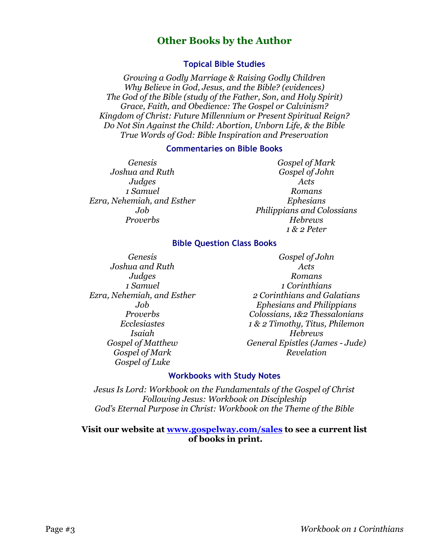#### **Other Books by the Author**

#### **Topical Bible Studies**

*Growing a Godly Marriage & Raising Godly Children Why Believe in God, Jesus, and the Bible? (evidences) The God of the Bible (study of the Father, Son, and Holy Spirit) Grace, Faith, and Obedience: The Gospel or Calvinism? Kingdom of Christ: Future Millennium or Present Spiritual Reign? Do Not Sin Against the Child: Abortion, Unborn Life, & the Bible True Words of God: Bible Inspiration and Preservation*

#### **Commentaries on Bible Books**

*Genesis Joshua and Ruth Judges 1 Samuel Ezra, Nehemiah, and Esther Job Proverbs*

*Gospel of Mark Gospel of John Acts Romans Ephesians Philippians and Colossians Hebrews 1 & 2 Peter*

#### **Bible Question Class Books**

*Genesis Joshua and Ruth Judges 1 Samuel Ezra, Nehemiah, and Esther Job Proverbs Ecclesiastes Isaiah Gospel of Matthew Gospel of Mark Gospel of Luke*

*Gospel of John Acts Romans 1 Corinthians 2 Corinthians and Galatians Ephesians and Philippians Colossians, 1&2 Thessalonians 1 & 2 Timothy, Titus, Philemon Hebrews General Epistles (James - Jude) Revelation*

#### **Workbooks with Study Notes**

*Jesus Is Lord: Workbook on the Fundamentals of the Gospel of Christ Following Jesus: Workbook on Discipleship God's Eternal Purpose in Christ: Workbook on the Theme of the Bible*

#### **Visit our website at [www.gospelway.com/sales](https://www.gospelway.com/sales) to see a current list of books in print.**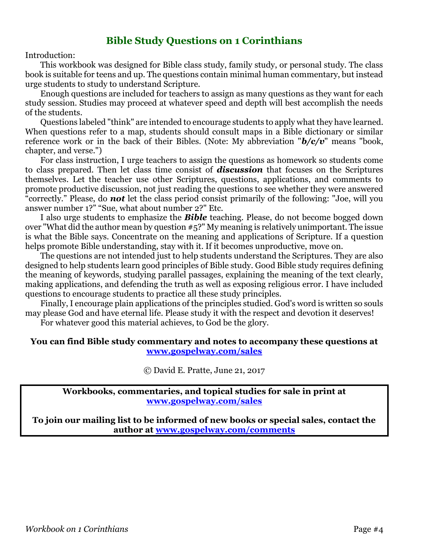#### **Bible Study Questions on 1 Corinthians**

Introduction:

This workbook was designed for Bible class study, family study, or personal study. The class book is suitable for teens and up. The questions contain minimal human commentary, but instead urge students to study to understand Scripture.

Enough questions are included for teachers to assign as many questions as they want for each study session. Studies may proceed at whatever speed and depth will best accomplish the needs of the students.

Questions labeled "think" are intended to encourage students to apply what they have learned. When questions refer to a map, students should consult maps in a Bible dictionary or similar reference work or in the back of their Bibles. (Note: My abbreviation "*b/c/v*" means "book, chapter, and verse.")

For class instruction, I urge teachers to assign the questions as homework so students come to class prepared. Then let class time consist of *discussion* that focuses on the Scriptures themselves. Let the teacher use other Scriptures, questions, applications, and comments to promote productive discussion, not just reading the questions to see whether they were answered "correctly." Please, do *not* let the class period consist primarily of the following: "Joe, will you answer number 1?" "Sue, what about number 2?" Etc.

I also urge students to emphasize the *Bible* teaching. Please, do not become bogged down over "What did the author mean by question #5?" My meaning is relatively unimportant. The issue is what the Bible says. Concentrate on the meaning and applications of Scripture. If a question helps promote Bible understanding, stay with it. If it becomes unproductive, move on.

The questions are not intended just to help students understand the Scriptures. They are also designed to help students learn good principles of Bible study. Good Bible study requires defining the meaning of keywords, studying parallel passages, explaining the meaning of the text clearly, making applications, and defending the truth as well as exposing religious error. I have included questions to encourage students to practice all these study principles.

Finally, I encourage plain applications of the principles studied. God's word is written so souls may please God and have eternal life. Please study it with the respect and devotion it deserves!

For whatever good this material achieves, to God be the glory.

#### **You can find Bible study commentary and notes to accompany these questions at [www.gospelway.com/sales](https://www.gospelway.com/sales)**

© David E. Pratte, June 21, 2017

**Workbooks, commentaries, and topical studies for sale in print at [www.gospelway.com/sales](https://www.gospelway.com/sales)**

**To join our mailing list to be informed of new books or special sales, contact the author at [www.gospelway.com/comments](http://www.gospelway.com/comments)**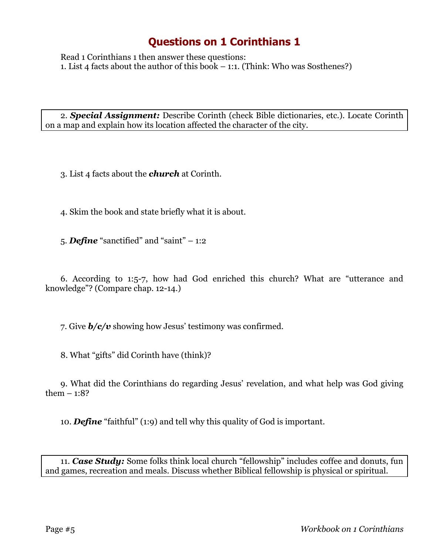Read 1 Corinthians 1 then answer these questions: 1. List 4 facts about the author of this book – 1:1. (Think: Who was Sosthenes?)

2. *Special Assignment:* Describe Corinth (check Bible dictionaries, etc.). Locate Corinth on a map and explain how its location affected the character of the city.

3. List 4 facts about the *church* at Corinth.

4. Skim the book and state briefly what it is about.

5. *Define* "sanctified" and "saint" – 1:2

6. According to 1:5-7, how had God enriched this church? What are "utterance and knowledge"? (Compare chap. 12-14.)

7. Give *b/c/v* showing how Jesus' testimony was confirmed.

8. What "gifts" did Corinth have (think)?

9. What did the Corinthians do regarding Jesus' revelation, and what help was God giving them  $-1:8$ ?

10. *Define* "faithful" (1:9) and tell why this quality of God is important.

11. *Case Study:* Some folks think local church "fellowship" includes coffee and donuts, fun and games, recreation and meals. Discuss whether Biblical fellowship is physical or spiritual.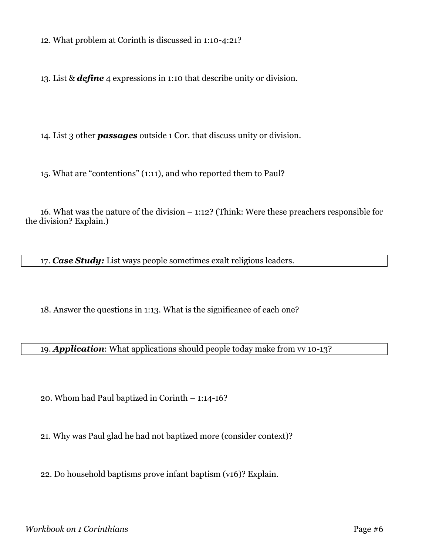12. What problem at Corinth is discussed in 1:10-4:21?

13. List & *define* 4 expressions in 1:10 that describe unity or division.

14. List 3 other *passages* outside 1 Cor. that discuss unity or division.

15. What are "contentions" (1:11), and who reported them to Paul?

16. What was the nature of the division – 1:12? (Think: Were these preachers responsible for the division? Explain.)

17. *Case Study:* List ways people sometimes exalt religious leaders.

18. Answer the questions in 1:13. What is the significance of each one?

19. *Application*: What applications should people today make from vv 10-13?

20. Whom had Paul baptized in Corinth – 1:14-16?

21. Why was Paul glad he had not baptized more (consider context)?

22. Do household baptisms prove infant baptism (v16)? Explain.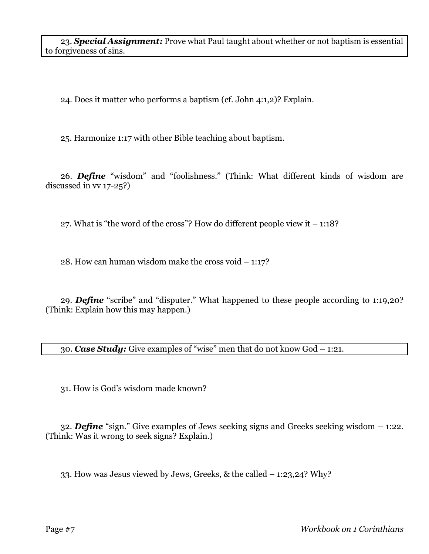23. *Special Assignment:* Prove what Paul taught about whether or not baptism is essential to forgiveness of sins.

24. Does it matter who performs a baptism (cf. John 4:1,2)? Explain.

25. Harmonize 1:17 with other Bible teaching about baptism.

26. *Define* "wisdom" and "foolishness." (Think: What different kinds of wisdom are discussed in vv 17-25?)

27. What is "the word of the cross"? How do different people view it  $-1:18$ ?

28. How can human wisdom make the cross void – 1:17?

29. *Define* "scribe" and "disputer." What happened to these people according to 1:19,20? (Think: Explain how this may happen.)

30. *Case Study:* Give examples of "wise" men that do not know God – 1:21.

31. How is God's wisdom made known?

32. *Define* "sign." Give examples of Jews seeking signs and Greeks seeking wisdom – 1:22. (Think: Was it wrong to seek signs? Explain.)

33. How was Jesus viewed by Jews, Greeks, & the called – 1:23,24? Why?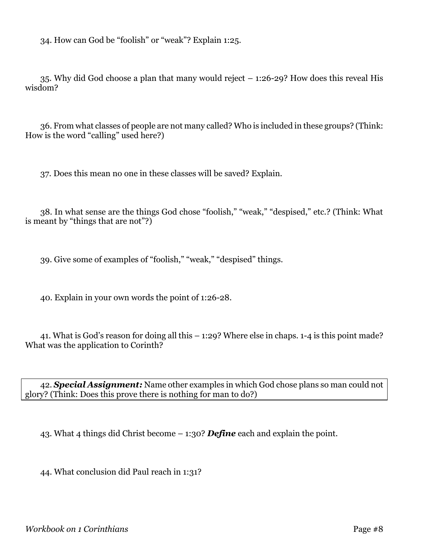34. How can God be "foolish" or "weak"? Explain 1:25.

35. Why did God choose a plan that many would reject – 1:26-29? How does this reveal His wisdom?

36. From what classes of people are not many called? Who is included in these groups? (Think: How is the word "calling" used here?)

37. Does this mean no one in these classes will be saved? Explain.

38. In what sense are the things God chose "foolish," "weak," "despised," etc.? (Think: What is meant by "things that are not"?)

39. Give some of examples of "foolish," "weak," "despised" things.

40. Explain in your own words the point of 1:26-28.

41. What is God's reason for doing all this – 1:29? Where else in chaps. 1-4 is this point made? What was the application to Corinth?

42. *Special Assignment:* Name other examples in which God chose plans so man could not glory? (Think: Does this prove there is nothing for man to do?)

43. What 4 things did Christ become – 1:30? *Define* each and explain the point.

44. What conclusion did Paul reach in 1:31?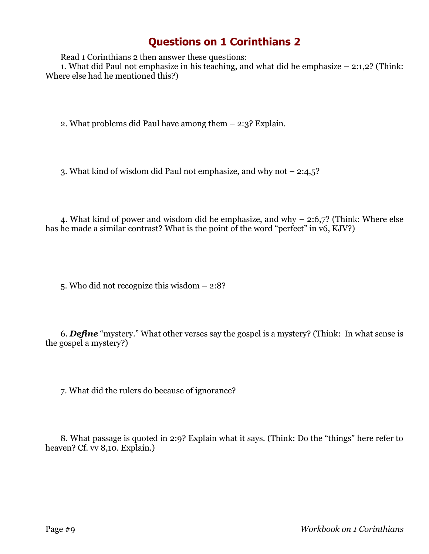Read 1 Corinthians 2 then answer these questions:

1. What did Paul not emphasize in his teaching, and what did he emphasize – 2:1,2? (Think: Where else had he mentioned this?)

2. What problems did Paul have among them – 2:3? Explain.

3. What kind of wisdom did Paul not emphasize, and why not – 2:4,5?

4. What kind of power and wisdom did he emphasize, and why – 2:6,7? (Think: Where else has he made a similar contrast? What is the point of the word "perfect" in v6, KJV?)

5. Who did not recognize this wisdom – 2:8?

6. *Define* "mystery." What other verses say the gospel is a mystery? (Think: In what sense is the gospel a mystery?)

7. What did the rulers do because of ignorance?

8. What passage is quoted in 2:9? Explain what it says. (Think: Do the "things" here refer to heaven? Cf. vv 8,10. Explain.)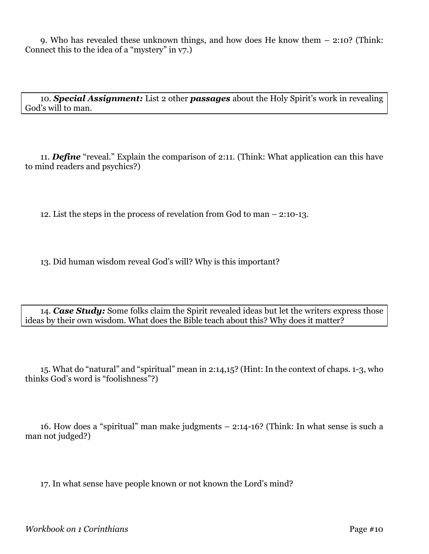9. Who has revealed these unknown things, and how does He know them – 2:10? (Think: Connect this to the idea of a "mystery" in v7.)

10. *Special Assignment:* List 2 other *passages* about the Holy Spirit's work in revealing God's will to man.

11. *Define* "reveal." Explain the comparison of 2:11. (Think: What application can this have to mind readers and psychics?)

12. List the steps in the process of revelation from God to man – 2:10-13.

13. Did human wisdom reveal God's will? Why is this important?

14. *Case Study:* Some folks claim the Spirit revealed ideas but let the writers express those ideas by their own wisdom. What does the Bible teach about this? Why does it matter?

15. What do "natural" and "spiritual" mean in 2:14,15? (Hint: In the context of chaps. 1-3, who thinks God's word is "foolishness"?)

16. How does a "spiritual" man make judgments – 2:14-16? (Think: In what sense is such a man not judged?)

17. In what sense have people known or not known the Lord's mind?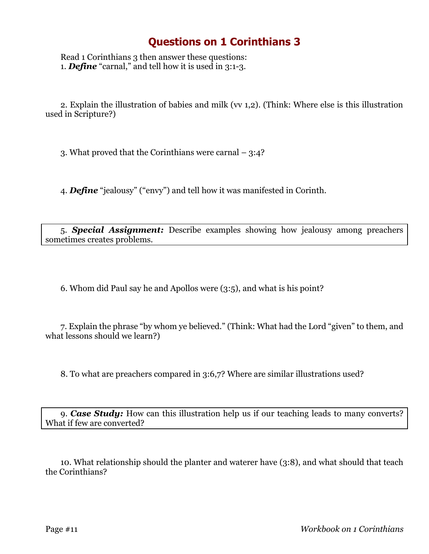Read 1 Corinthians 3 then answer these questions: 1. *Define* "carnal," and tell how it is used in 3:1-3.

2. Explain the illustration of babies and milk (vv 1,2). (Think: Where else is this illustration used in Scripture?)

3. What proved that the Corinthians were carnal – 3:4?

4. *Define* "jealousy" ("envy") and tell how it was manifested in Corinth.

5. *Special Assignment:* Describe examples showing how jealousy among preachers sometimes creates problems.

6. Whom did Paul say he and Apollos were (3:5), and what is his point?

7. Explain the phrase "by whom ye believed." (Think: What had the Lord "given" to them, and what lessons should we learn?)

8. To what are preachers compared in 3:6,7? Where are similar illustrations used?

9. *Case Study:* How can this illustration help us if our teaching leads to many converts? What if few are converted?

10. What relationship should the planter and waterer have (3:8), and what should that teach the Corinthians?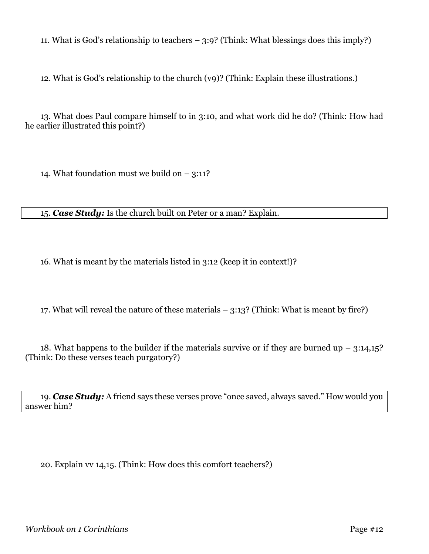11. What is God's relationship to teachers – 3:9? (Think: What blessings does this imply?)

12. What is God's relationship to the church (v9)? (Think: Explain these illustrations.)

13. What does Paul compare himself to in 3:10, and what work did he do? (Think: How had he earlier illustrated this point?)

14. What foundation must we build on  $-$  3:11?

15. *Case Study:* Is the church built on Peter or a man? Explain.

16. What is meant by the materials listed in 3:12 (keep it in context!)?

17. What will reveal the nature of these materials – 3:13? (Think: What is meant by fire?)

18. What happens to the builder if the materials survive or if they are burned up  $-$  3:14,15? (Think: Do these verses teach purgatory?)

19. *Case Study:* A friend says these verses prove "once saved, always saved." How would you answer him?

20. Explain vv 14,15. (Think: How does this comfort teachers?)

*Workbook on 1 Corinthians* Page #12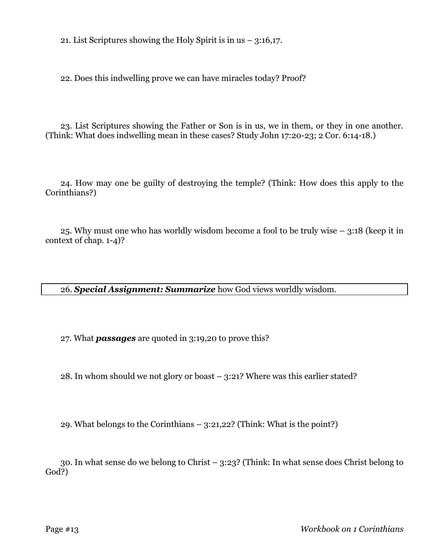21. List Scriptures showing the Holy Spirit is in us  $-$  3:16,17.

22. Does this indwelling prove we can have miracles today? Proof?

23. List Scriptures showing the Father or Son is in us, we in them, or they in one another. (Think: What does indwelling mean in these cases? Study John 17:20-23; 2 Cor. 6:14-18.)

24. How may one be guilty of destroying the temple? (Think: How does this apply to the Corinthians?)

25. Why must one who has worldly wisdom become a fool to be truly wise – 3:18 (keep it in context of chap. 1-4)?

26. *Special Assignment: Summarize* how God views worldly wisdom.

27. What *passages* are quoted in 3:19,20 to prove this?

28. In whom should we not glory or boast – 3:21? Where was this earlier stated?

29. What belongs to the Corinthians – 3:21,22? (Think: What is the point?)

30. In what sense do we belong to Christ – 3:23? (Think: In what sense does Christ belong to God?)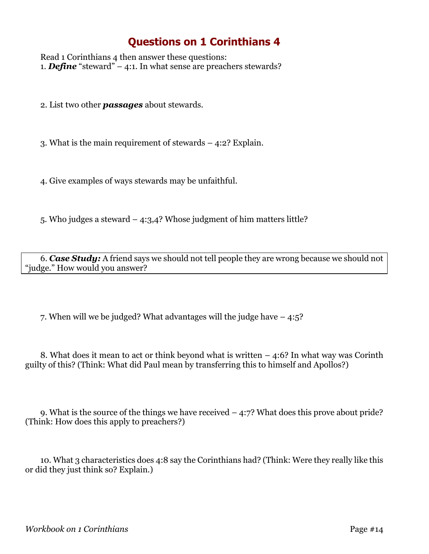Read 1 Corinthians 4 then answer these questions: 1. *Define* "steward" – 4:1. In what sense are preachers stewards?

2. List two other *passages* about stewards.

3. What is the main requirement of stewards – 4:2? Explain.

4. Give examples of ways stewards may be unfaithful.

5. Who judges a steward – 4:3,4? Whose judgment of him matters little?

6. *Case Study:* A friend says we should not tell people they are wrong because we should not "judge." How would you answer?

7. When will we be judged? What advantages will the judge have – 4:5?

8. What does it mean to act or think beyond what is written  $-4.6$ ? In what way was Corinth guilty of this? (Think: What did Paul mean by transferring this to himself and Apollos?)

9. What is the source of the things we have received – 4:7? What does this prove about pride? (Think: How does this apply to preachers?)

10. What 3 characteristics does 4:8 say the Corinthians had? (Think: Were they really like this or did they just think so? Explain.)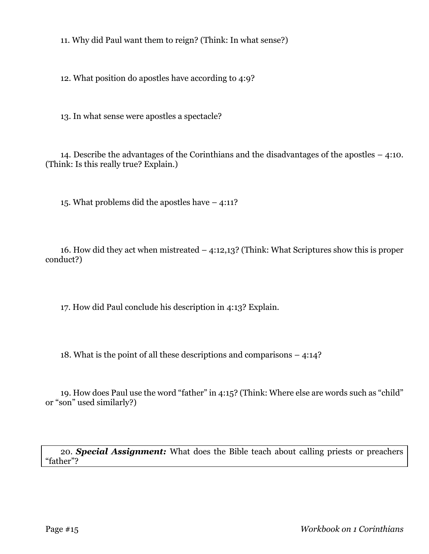11. Why did Paul want them to reign? (Think: In what sense?)

12. What position do apostles have according to 4:9?

13. In what sense were apostles a spectacle?

14. Describe the advantages of the Corinthians and the disadvantages of the apostles – 4:10. (Think: Is this really true? Explain.)

15. What problems did the apostles have – 4:11?

16. How did they act when mistreated – 4:12,13? (Think: What Scriptures show this is proper conduct?)

17. How did Paul conclude his description in 4:13? Explain.

18. What is the point of all these descriptions and comparisons – 4:14?

19. How does Paul use the word "father" in 4:15? (Think: Where else are words such as "child" or "son" used similarly?)

20. *Special Assignment:* What does the Bible teach about calling priests or preachers "father"?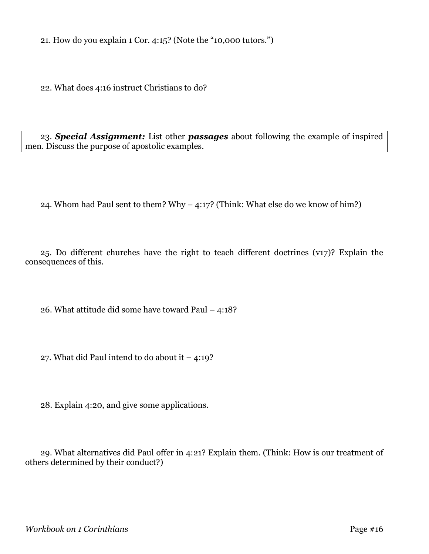21. How do you explain 1 Cor. 4:15? (Note the "10,000 tutors.")

22. What does 4:16 instruct Christians to do?

23. *Special Assignment:* List other *passages* about following the example of inspired men. Discuss the purpose of apostolic examples.

24. Whom had Paul sent to them? Why – 4:17? (Think: What else do we know of him?)

25. Do different churches have the right to teach different doctrines (v17)? Explain the consequences of this.

26. What attitude did some have toward Paul – 4:18?

27. What did Paul intend to do about it  $-4:19$ ?

28. Explain 4:20, and give some applications.

29. What alternatives did Paul offer in 4:21? Explain them. (Think: How is our treatment of others determined by their conduct?)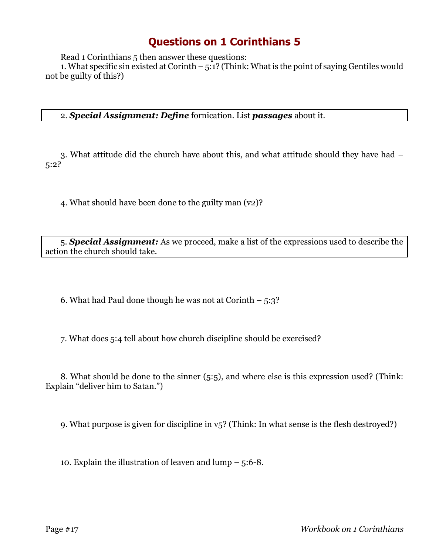Read 1 Corinthians 5 then answer these questions:

1. What specific sin existed at Corinth – 5:1? (Think: What is the point of saying Gentiles would not be guilty of this?)

2. *Special Assignment: Define* fornication. List *passages* about it.

3. What attitude did the church have about this, and what attitude should they have had – 5:2?

4. What should have been done to the guilty man (v2)?

5. *Special Assignment:* As we proceed, make a list of the expressions used to describe the action the church should take.

6. What had Paul done though he was not at Corinth  $-5:3$ ?

7. What does 5:4 tell about how church discipline should be exercised?

8. What should be done to the sinner (5:5), and where else is this expression used? (Think: Explain "deliver him to Satan.")

9. What purpose is given for discipline in v5? (Think: In what sense is the flesh destroyed?)

10. Explain the illustration of leaven and lump – 5:6-8.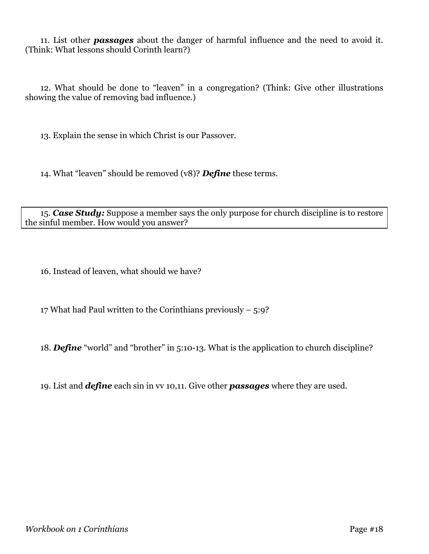11. List other *passages* about the danger of harmful influence and the need to avoid it. (Think: What lessons should Corinth learn?)

12. What should be done to "leaven" in a congregation? (Think: Give other illustrations showing the value of removing bad influence.)

13. Explain the sense in which Christ is our Passover.

14. What "leaven" should be removed (v8)? *Define* these terms.

15. *Case Study:* Suppose a member says the only purpose for church discipline is to restore the sinful member. How would you answer?

16. Instead of leaven, what should we have?

17 What had Paul written to the Corinthians previously – 5:9?

18. *Define* "world" and "brother" in 5:10-13. What is the application to church discipline?

19. List and *define* each sin in vv 10,11. Give other *passages* where they are used.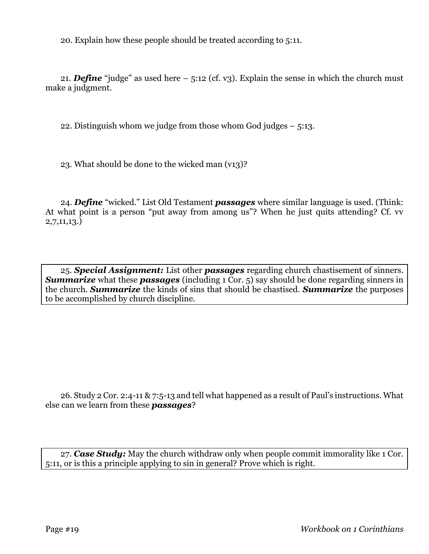20. Explain how these people should be treated according to 5:11.

21. *Define* "judge" as used here – 5:12 (cf. v3). Explain the sense in which the church must make a judgment.

22. Distinguish whom we judge from those whom God judges – 5:13.

23. What should be done to the wicked man (v13)?

24. *Define* "wicked." List Old Testament *passages* where similar language is used. (Think: At what point is a person "put away from among us"? When he just quits attending? Cf. vv 2,7,11,13.)

25. *Special Assignment:* List other *passages* regarding church chastisement of sinners. **Summarize** what these **passages** (including 1 Cor. 5) say should be done regarding sinners in the church. *Summarize* the kinds of sins that should be chastised. *Summarize* the purposes to be accomplished by church discipline.

26. Study 2 Cor. 2:4-11 & 7:5-13 and tell what happened as a result of Paul's instructions. What else can we learn from these *passages*?

27. *Case Study:* May the church withdraw only when people commit immorality like 1 Cor. 5:11, or is this a principle applying to sin in general? Prove which is right.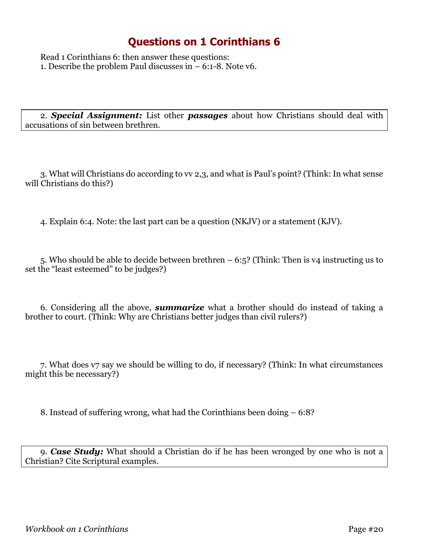Read 1 Corinthians 6: then answer these questions: 1. Describe the problem Paul discusses in – 6:1-8. Note v6.

2. *Special Assignment:* List other *passages* about how Christians should deal with accusations of sin between brethren.

3. What will Christians do according to vv 2,3, and what is Paul's point? (Think: In what sense will Christians do this?)

4. Explain 6:4. Note: the last part can be a question (NKJV) or a statement (KJV).

5. Who should be able to decide between brethren – 6:5? (Think: Then is v4 instructing us to set the "least esteemed" to be judges?)

6. Considering all the above, *summarize* what a brother should do instead of taking a brother to court. (Think: Why are Christians better judges than civil rulers?)

7. What does v7 say we should be willing to do, if necessary? (Think: In what circumstances might this be necessary?)

8. Instead of suffering wrong, what had the Corinthians been doing – 6:8?

9. *Case Study:* What should a Christian do if he has been wronged by one who is not a Christian? Cite Scriptural examples.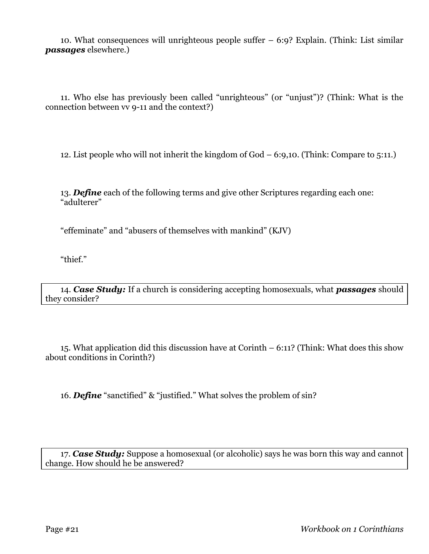10. What consequences will unrighteous people suffer – 6:9? Explain. (Think: List similar *passages* elsewhere.)

11. Who else has previously been called "unrighteous" (or "unjust")? (Think: What is the connection between vv 9-11 and the context?)

12. List people who will not inherit the kingdom of God – 6:9,10. (Think: Compare to 5:11.)

13. *Define* each of the following terms and give other Scriptures regarding each one: "adulterer"

"effeminate" and "abusers of themselves with mankind" (KJV)

"thief."

14. *Case Study:* If a church is considering accepting homosexuals, what *passages* should they consider?

15. What application did this discussion have at Corinth – 6:11? (Think: What does this show about conditions in Corinth?)

16. *Define* "sanctified" & "justified." What solves the problem of sin?

17. *Case Study:* Suppose a homosexual (or alcoholic) says he was born this way and cannot change. How should he be answered?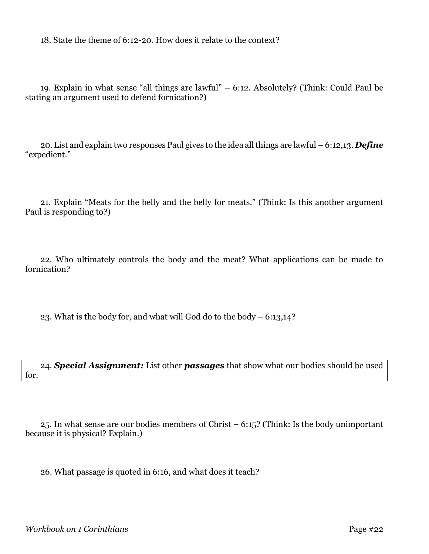18. State the theme of 6:12-20. How does it relate to the context?

19. Explain in what sense "all things are lawful" – 6:12. Absolutely? (Think: Could Paul be stating an argument used to defend fornication?)

20. List and explain two responses Paul gives to the idea all things are lawful – 6:12,13. *Define* "expedient."

21. Explain "Meats for the belly and the belly for meats." (Think: Is this another argument Paul is responding to?)

22. Who ultimately controls the body and the meat? What applications can be made to fornication?

23. What is the body for, and what will God do to the body – 6:13,14?

24. *Special Assignment:* List other *passages* that show what our bodies should be used for.

25. In what sense are our bodies members of Christ – 6:15? (Think: Is the body unimportant because it is physical? Explain.)

26. What passage is quoted in 6:16, and what does it teach?

*Workbook on 1 Corinthians* Page #22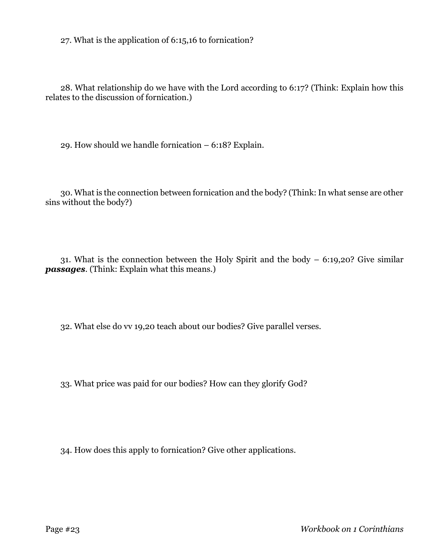27. What is the application of 6:15,16 to fornication?

28. What relationship do we have with the Lord according to 6:17? (Think: Explain how this relates to the discussion of fornication.)

29. How should we handle fornication – 6:18? Explain.

30. What is the connection between fornication and the body? (Think: In what sense are other sins without the body?)

31. What is the connection between the Holy Spirit and the body – 6:19,20? Give similar *passages*. (Think: Explain what this means.)

32. What else do vv 19,20 teach about our bodies? Give parallel verses.

33. What price was paid for our bodies? How can they glorify God?

34. How does this apply to fornication? Give other applications.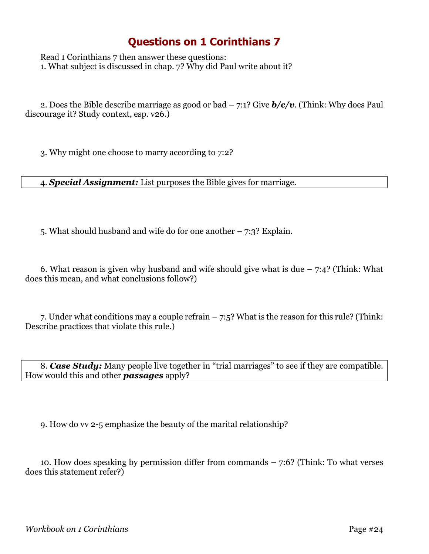Read 1 Corinthians 7 then answer these questions: 1. What subject is discussed in chap. 7? Why did Paul write about it?

2. Does the Bible describe marriage as good or bad – 7:1? Give *b/c/v*. (Think: Why does Paul discourage it? Study context, esp. v26.)

3. Why might one choose to marry according to 7:2?

4. *Special Assignment:* List purposes the Bible gives for marriage.

5. What should husband and wife do for one another – 7:3? Explain.

6. What reason is given why husband and wife should give what is due  $-7:4$ ? (Think: What does this mean, and what conclusions follow?)

7. Under what conditions may a couple refrain – 7:5? What is the reason for this rule? (Think: Describe practices that violate this rule.)

8. *Case Study:* Many people live together in "trial marriages" to see if they are compatible. How would this and other *passages* apply?

9. How do vv 2-5 emphasize the beauty of the marital relationship?

10. How does speaking by permission differ from commands – 7:6? (Think: To what verses does this statement refer?)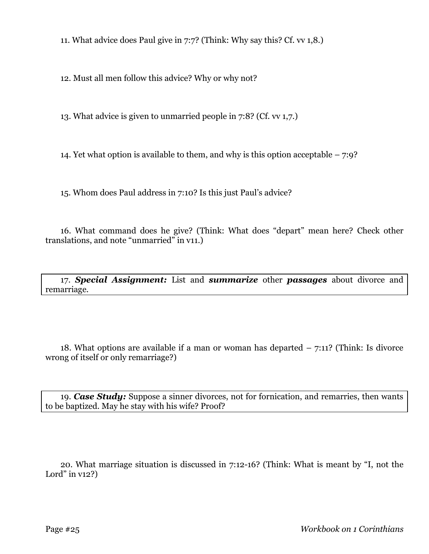11. What advice does Paul give in 7:7? (Think: Why say this? Cf. vv 1,8.)

12. Must all men follow this advice? Why or why not?

13. What advice is given to unmarried people in 7:8? (Cf. vv 1,7.)

14. Yet what option is available to them, and why is this option acceptable – 7:9?

15. Whom does Paul address in 7:10? Is this just Paul's advice?

16. What command does he give? (Think: What does "depart" mean here? Check other translations, and note "unmarried" in v11.)

17. *Special Assignment:* List and *summarize* other *passages* about divorce and remarriage.

18. What options are available if a man or woman has departed  $-7:11$ ? (Think: Is divorce wrong of itself or only remarriage?)

19. *Case Study:* Suppose a sinner divorces, not for fornication, and remarries, then wants to be baptized. May he stay with his wife? Proof?

20. What marriage situation is discussed in 7:12-16? (Think: What is meant by "I, not the Lord" in  $v12$ ?)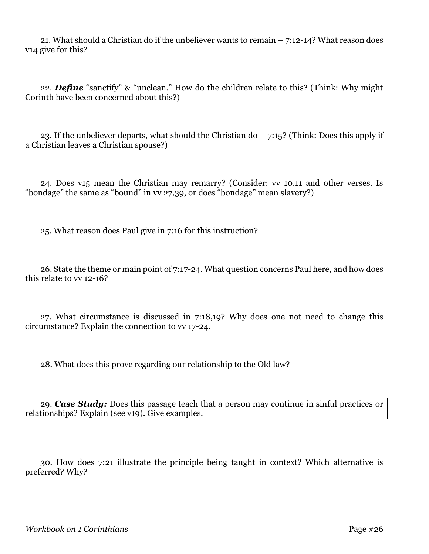21. What should a Christian do if the unbeliever wants to remain – 7:12-14? What reason does v14 give for this?

22. *Define* "sanctify" & "unclean." How do the children relate to this? (Think: Why might Corinth have been concerned about this?)

23. If the unbeliever departs, what should the Christian do  $-7:15$ ? (Think: Does this apply if a Christian leaves a Christian spouse?)

24. Does v15 mean the Christian may remarry? (Consider: vv 10,11 and other verses. Is "bondage" the same as "bound" in vv 27,39, or does "bondage" mean slavery?)

25. What reason does Paul give in 7:16 for this instruction?

26. State the theme or main point of 7:17-24. What question concerns Paul here, and how does this relate to vv 12-16?

27. What circumstance is discussed in 7:18,19? Why does one not need to change this circumstance? Explain the connection to vv 17-24.

28. What does this prove regarding our relationship to the Old law?

29. *Case Study:* Does this passage teach that a person may continue in sinful practices or relationships? Explain (see v19). Give examples.

30. How does 7:21 illustrate the principle being taught in context? Which alternative is preferred? Why?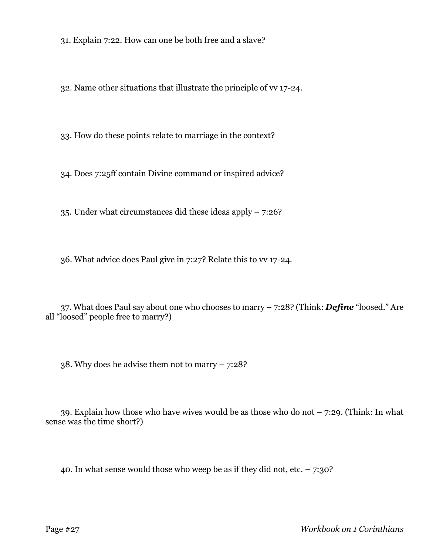31. Explain 7:22. How can one be both free and a slave?

32. Name other situations that illustrate the principle of vv 17-24.

33. How do these points relate to marriage in the context?

34. Does 7:25ff contain Divine command or inspired advice?

35. Under what circumstances did these ideas apply – 7:26?

36. What advice does Paul give in 7:27? Relate this to vv 17-24.

37. What does Paul say about one who chooses to marry – 7:28? (Think: *Define* "loosed." Are all "loosed" people free to marry?)

38. Why does he advise them not to marry – 7:28?

39. Explain how those who have wives would be as those who do not  $-7:29$ . (Think: In what sense was the time short?)

40. In what sense would those who weep be as if they did not, etc.  $-7:30$ ?

Page #27 *Workbook on 1 Corinthians*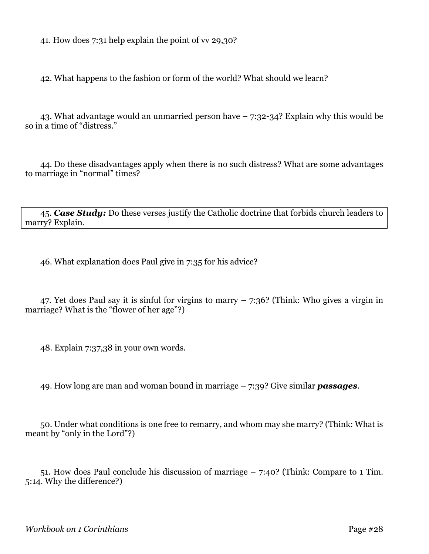41. How does 7:31 help explain the point of vv 29,30?

42. What happens to the fashion or form of the world? What should we learn?

43. What advantage would an unmarried person have – 7:32-34? Explain why this would be so in a time of "distress."

44. Do these disadvantages apply when there is no such distress? What are some advantages to marriage in "normal" times?

45. *Case Study:* Do these verses justify the Catholic doctrine that forbids church leaders to marry? Explain.

46. What explanation does Paul give in 7:35 for his advice?

47. Yet does Paul say it is sinful for virgins to marry – 7:36? (Think: Who gives a virgin in marriage? What is the "flower of her age"?)

48. Explain 7:37,38 in your own words.

49. How long are man and woman bound in marriage – 7:39? Give similar *passages*.

50. Under what conditions is one free to remarry, and whom may she marry? (Think: What is meant by "only in the Lord"?)

51. How does Paul conclude his discussion of marriage – 7:40? (Think: Compare to 1 Tim. 5:14. Why the difference?)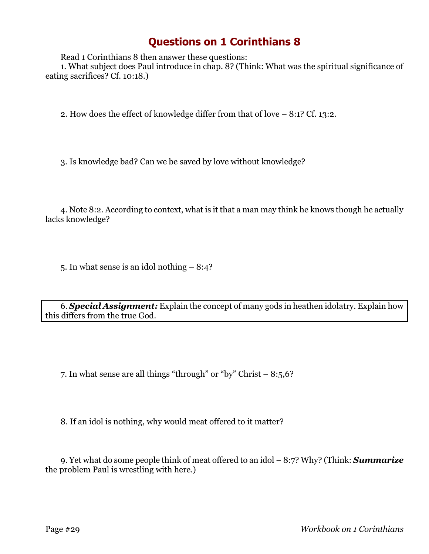Read 1 Corinthians 8 then answer these questions:

1. What subject does Paul introduce in chap. 8? (Think: What was the spiritual significance of eating sacrifices? Cf. 10:18.)

2. How does the effect of knowledge differ from that of love – 8:1? Cf. 13:2.

3. Is knowledge bad? Can we be saved by love without knowledge?

4. Note 8:2. According to context, what is it that a man may think he knows though he actually lacks knowledge?

5. In what sense is an idol nothing – 8:4?

6. *Special Assignment:* Explain the concept of many gods in heathen idolatry. Explain how this differs from the true God.

7. In what sense are all things "through" or "by" Christ – 8:5,6?

8. If an idol is nothing, why would meat offered to it matter?

9. Yet what do some people think of meat offered to an idol – 8:7? Why? (Think: *Summarize* the problem Paul is wrestling with here.)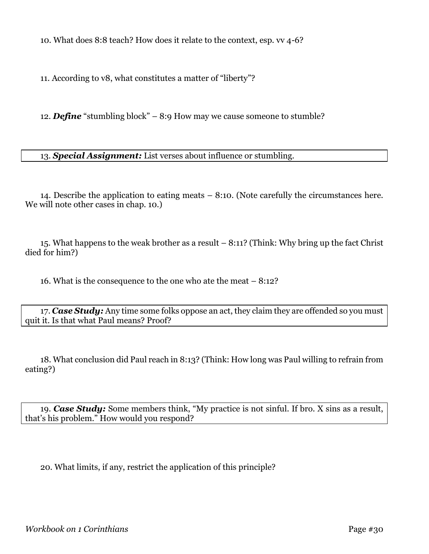10. What does 8:8 teach? How does it relate to the context, esp. vv 4-6?

11. According to v8, what constitutes a matter of "liberty"?

12. *Define* "stumbling block" – 8:9 How may we cause someone to stumble?

13. *Special Assignment:* List verses about influence or stumbling.

14. Describe the application to eating meats – 8:10. (Note carefully the circumstances here. We will note other cases in chap. 10.)

15. What happens to the weak brother as a result – 8:11? (Think: Why bring up the fact Christ died for him?)

16. What is the consequence to the one who ate the meat – 8:12?

17. *Case Study:* Any time some folks oppose an act, they claim they are offended so you must quit it. Is that what Paul means? Proof?

18. What conclusion did Paul reach in 8:13? (Think: How long was Paul willing to refrain from eating?)

19. *Case Study:* Some members think, "My practice is not sinful. If bro. X sins as a result, that's his problem." How would you respond?

20. What limits, if any, restrict the application of this principle?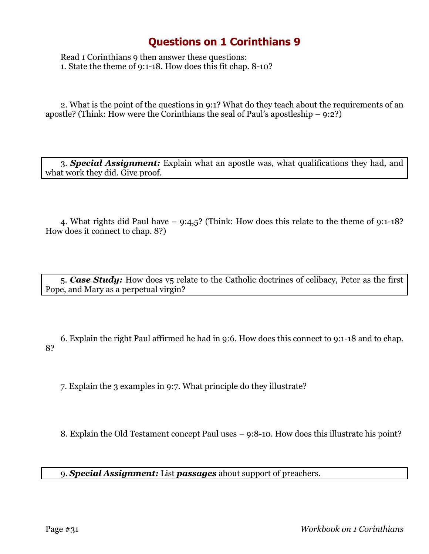Read 1 Corinthians 9 then answer these questions: 1. State the theme of 9:1-18. How does this fit chap. 8-10?

2. What is the point of the questions in 9:1? What do they teach about the requirements of an apostle? (Think: How were the Corinthians the seal of Paul's apostleship  $-9:2$ ?)

3. *Special Assignment:* Explain what an apostle was, what qualifications they had, and what work they did. Give proof.

4. What rights did Paul have – 9:4,5? (Think: How does this relate to the theme of 9:1-18? How does it connect to chap. 8?)

5. *Case Study:* How does v5 relate to the Catholic doctrines of celibacy, Peter as the first Pope, and Mary as a perpetual virgin?

6. Explain the right Paul affirmed he had in 9:6. How does this connect to 9:1-18 and to chap. 8?

7. Explain the 3 examples in 9:7. What principle do they illustrate?

8. Explain the Old Testament concept Paul uses – 9:8-10. How does this illustrate his point?

9. *Special Assignment:* List *passages* about support of preachers.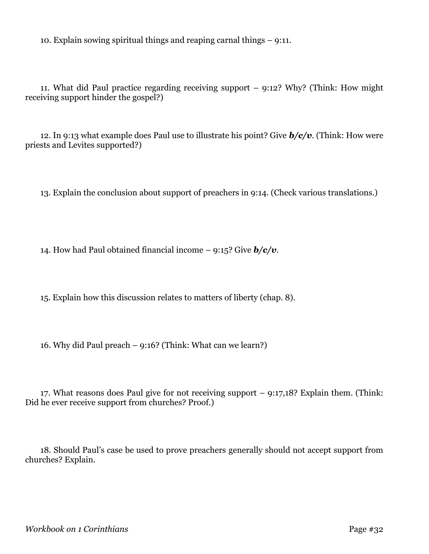10. Explain sowing spiritual things and reaping carnal things – 9:11.

11. What did Paul practice regarding receiving support – 9:12? Why? (Think: How might receiving support hinder the gospel?)

12. In 9:13 what example does Paul use to illustrate his point? Give *b/c/v*. (Think: How were priests and Levites supported?)

13. Explain the conclusion about support of preachers in 9:14. (Check various translations.)

14. How had Paul obtained financial income – 9:15? Give *b/c/v*.

15. Explain how this discussion relates to matters of liberty (chap. 8).

16. Why did Paul preach – 9:16? (Think: What can we learn?)

17. What reasons does Paul give for not receiving support – 9:17,18? Explain them. (Think: Did he ever receive support from churches? Proof.)

18. Should Paul's case be used to prove preachers generally should not accept support from churches? Explain.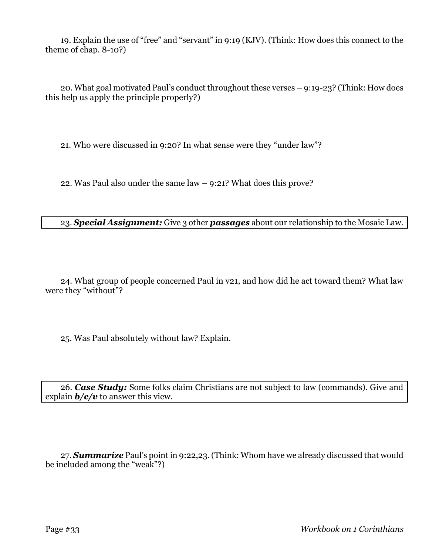19. Explain the use of "free" and "servant" in 9:19 (KJV). (Think: How does this connect to the theme of chap. 8-10?)

20. What goal motivated Paul's conduct throughout these verses – 9:19-23? (Think: How does this help us apply the principle properly?)

21. Who were discussed in 9:20? In what sense were they "under law"?

22. Was Paul also under the same law – 9:21? What does this prove?

#### 23. *Special Assignment:* Give 3 other *passages* about our relationship to the Mosaic Law.

24. What group of people concerned Paul in v21, and how did he act toward them? What law were they "without"?

25. Was Paul absolutely without law? Explain.

26. *Case Study:* Some folks claim Christians are not subject to law (commands). Give and explain  $\mathbf{b}/\mathbf{c}/\mathbf{v}$  to answer this view.

27. *Summarize* Paul's point in 9:22,23. (Think: Whom have we already discussed that would be included among the "weak"?)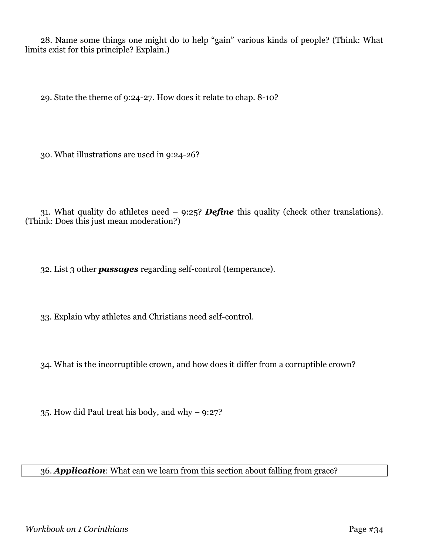28. Name some things one might do to help "gain" various kinds of people? (Think: What limits exist for this principle? Explain.)

29. State the theme of 9:24-27. How does it relate to chap. 8-10?

30. What illustrations are used in 9:24-26?

31. What quality do athletes need – 9:25? *Define* this quality (check other translations). (Think: Does this just mean moderation?)

32. List 3 other *passages* regarding self-control (temperance).

33. Explain why athletes and Christians need self-control.

34. What is the incorruptible crown, and how does it differ from a corruptible crown?

35. How did Paul treat his body, and why – 9:27?

36. *Application*: What can we learn from this section about falling from grace?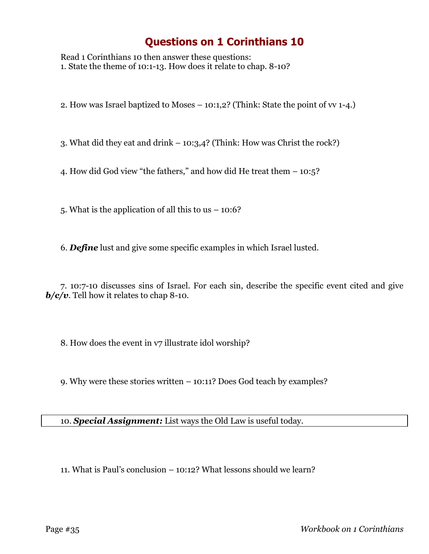Read 1 Corinthians 10 then answer these questions: 1. State the theme of 10:1-13. How does it relate to chap. 8-10?

2. How was Israel baptized to Moses – 10:1,2? (Think: State the point of vv 1-4.)

3. What did they eat and drink – 10:3,4? (Think: How was Christ the rock?)

4. How did God view "the fathers," and how did He treat them – 10:5?

5. What is the application of all this to us – 10:6?

6. *Define* lust and give some specific examples in which Israel lusted.

7. 10:7-10 discusses sins of Israel. For each sin, describe the specific event cited and give *b/c/v*. Tell how it relates to chap 8-10.

8. How does the event in  $v7$  illustrate idol worship?

9. Why were these stories written – 10:11? Does God teach by examples?

10. *Special Assignment:* List ways the Old Law is useful today.

11. What is Paul's conclusion – 10:12? What lessons should we learn?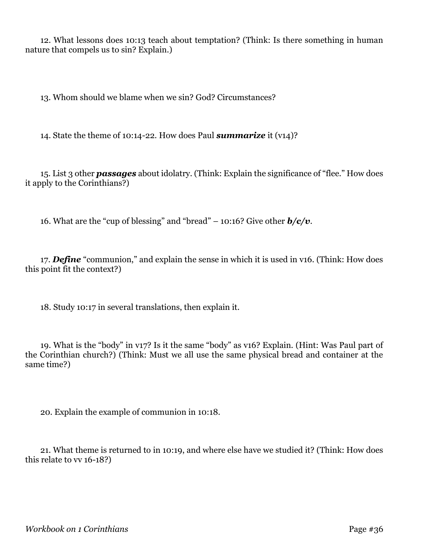12. What lessons does 10:13 teach about temptation? (Think: Is there something in human nature that compels us to sin? Explain.)

13. Whom should we blame when we sin? God? Circumstances?

14. State the theme of 10:14-22. How does Paul *summarize* it (v14)?

15. List 3 other *passages* about idolatry. (Think: Explain the significance of "flee." How does it apply to the Corinthians?)

16. What are the "cup of blessing" and "bread" – 10:16? Give other  $b/c/v$ .

17. *Define* "communion," and explain the sense in which it is used in v16. (Think: How does this point fit the context?)

18. Study 10:17 in several translations, then explain it.

19. What is the "body" in v17? Is it the same "body" as v16? Explain. (Hint: Was Paul part of the Corinthian church?) (Think: Must we all use the same physical bread and container at the same time?)

20. Explain the example of communion in 10:18.

21. What theme is returned to in 10:19, and where else have we studied it? (Think: How does this relate to vv 16-18?)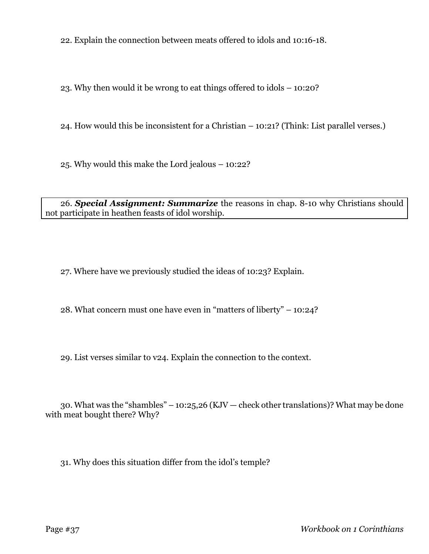22. Explain the connection between meats offered to idols and 10:16-18.

23. Why then would it be wrong to eat things offered to idols – 10:20?

24. How would this be inconsistent for a Christian – 10:21? (Think: List parallel verses.)

25. Why would this make the Lord jealous – 10:22?

26. *Special Assignment: Summarize* the reasons in chap. 8-10 why Christians should not participate in heathen feasts of idol worship.

27. Where have we previously studied the ideas of 10:23? Explain.

28. What concern must one have even in "matters of liberty" – 10:24?

29. List verses similar to v24. Explain the connection to the context.

30. What was the "shambles" – 10:25,26 (KJV – check other translations)? What may be done with meat bought there? Why?

31. Why does this situation differ from the idol's temple?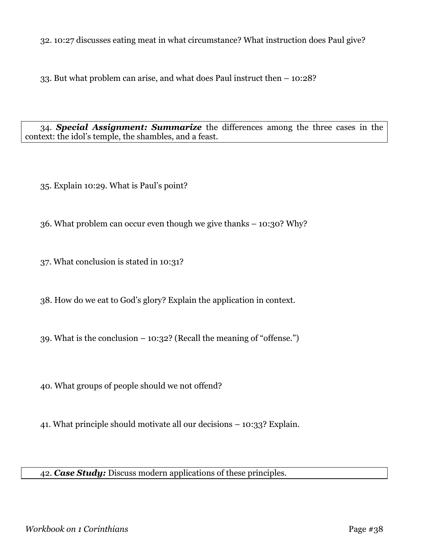32. 10:27 discusses eating meat in what circumstance? What instruction does Paul give?

33. But what problem can arise, and what does Paul instruct then – 10:28?

34. *Special Assignment: Summarize* the differences among the three cases in the context: the idol's temple, the shambles, and a feast.

35. Explain 10:29. What is Paul's point?

36. What problem can occur even though we give thanks – 10:30? Why?

37. What conclusion is stated in 10:31?

38. How do we eat to God's glory? Explain the application in context.

39. What is the conclusion – 10:32? (Recall the meaning of "offense.")

40. What groups of people should we not offend?

41. What principle should motivate all our decisions – 10:33? Explain.

42. *Case Study:* Discuss modern applications of these principles.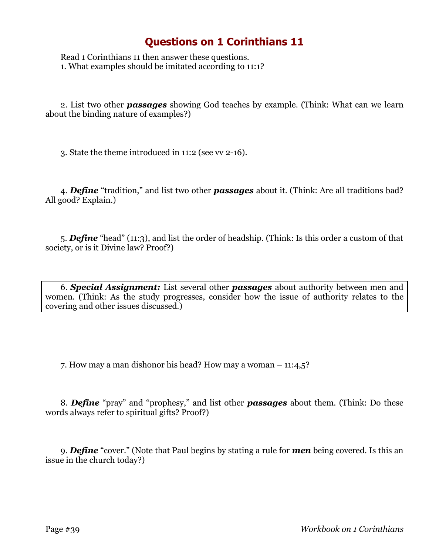Read 1 Corinthians 11 then answer these questions. 1. What examples should be imitated according to 11:1?

2. List two other *passages* showing God teaches by example. (Think: What can we learn about the binding nature of examples?)

3. State the theme introduced in 11:2 (see vv 2-16).

4. *Define* "tradition," and list two other *passages* about it. (Think: Are all traditions bad? All good? Explain.)

5. *Define* "head" (11:3), and list the order of headship. (Think: Is this order a custom of that society, or is it Divine law? Proof?)

6. *Special Assignment:* List several other *passages* about authority between men and women. (Think: As the study progresses, consider how the issue of authority relates to the covering and other issues discussed.)

7. How may a man dishonor his head? How may a woman – 11:4,5?

8. *Define* "pray" and "prophesy," and list other *passages* about them. (Think: Do these words always refer to spiritual gifts? Proof?)

9. *Define* "cover." (Note that Paul begins by stating a rule for *men* being covered. Is this an issue in the church today?)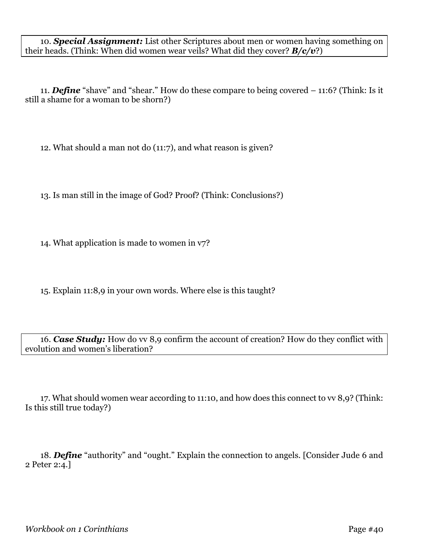10. *Special Assignment:* List other Scriptures about men or women having something on their heads. (Think: When did women wear veils? What did they cover? *B/c/v*?)

11. *Define* "shave" and "shear." How do these compare to being covered – 11:6? (Think: Is it still a shame for a woman to be shorn?)

12. What should a man not do (11:7), and what reason is given?

13. Is man still in the image of God? Proof? (Think: Conclusions?)

14. What application is made to women in v7?

15. Explain 11:8,9 in your own words. Where else is this taught?

16. *Case Study:* How do vv 8,9 confirm the account of creation? How do they conflict with evolution and women's liberation?

17. What should women wear according to 11:10, and how does this connect to vv 8,9? (Think: Is this still true today?)

18. *Define* "authority" and "ought." Explain the connection to angels. [Consider Jude 6 and 2 Peter 2:4.]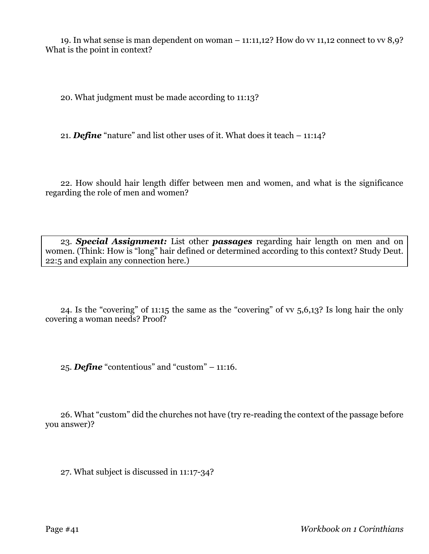19. In what sense is man dependent on woman – 11:11,12? How do vv 11,12 connect to vv 8,9? What is the point in context?

20. What judgment must be made according to 11:13?

21. *Define* "nature" and list other uses of it. What does it teach – 11:14?

22. How should hair length differ between men and women, and what is the significance regarding the role of men and women?

23. *Special Assignment:* List other *passages* regarding hair length on men and on women. (Think: How is "long" hair defined or determined according to this context? Study Deut. 22:5 and explain any connection here.)

24. Is the "covering" of 11:15 the same as the "covering" of vv 5,6,13? Is long hair the only covering a woman needs? Proof?

25. *Define* "contentious" and "custom" – 11:16.

26. What "custom" did the churches not have (try re-reading the context of the passage before you answer)?

27. What subject is discussed in 11:17-34?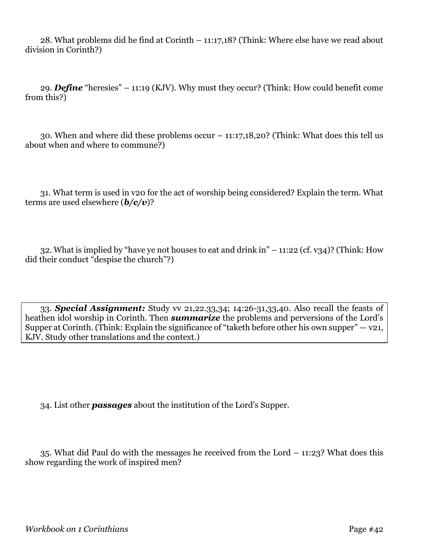28. What problems did he find at Corinth – 11:17,18? (Think: Where else have we read about division in Corinth?)

29. *Define* "heresies" – 11:19 (KJV). Why must they occur? (Think: How could benefit come from this?)

30. When and where did these problems occur – 11:17,18,20? (Think: What does this tell us about when and where to commune?)

31. What term is used in v20 for the act of worship being considered? Explain the term. What terms are used elsewhere (*b/c/v*)?

32. What is implied by "have ye not houses to eat and drink in" – 11:22 (cf. v34)? (Think: How did their conduct "despise the church"?)

33. *Special Assignment:* Study vv 21,22.33,34; 14:26-31,33,40. Also recall the feasts of heathen idol worship in Corinth. Then *summarize* the problems and perversions of the Lord's Supper at Corinth. (Think: Explain the significance of "taketh before other his own supper"  $-$  v21, KJV. Study other translations and the context.)

34. List other *passages* about the institution of the Lord's Supper.

35. What did Paul do with the messages he received from the Lord – 11:23? What does this show regarding the work of inspired men?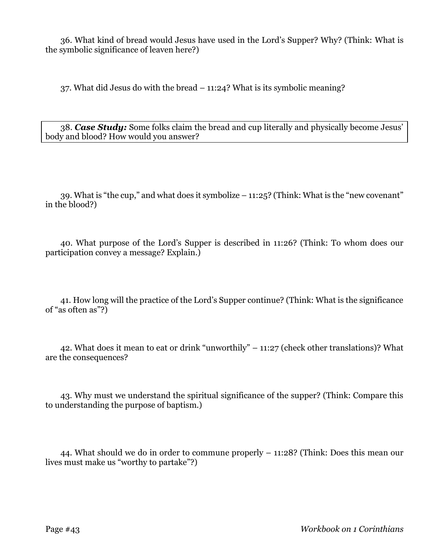36. What kind of bread would Jesus have used in the Lord's Supper? Why? (Think: What is the symbolic significance of leaven here?)

37. What did Jesus do with the bread – 11:24? What is its symbolic meaning?

38. *Case Study:* Some folks claim the bread and cup literally and physically become Jesus' body and blood? How would you answer?

39. What is "the cup," and what does it symbolize – 11:25? (Think: What is the "new covenant" in the blood?)

40. What purpose of the Lord's Supper is described in 11:26? (Think: To whom does our participation convey a message? Explain.)

41. How long will the practice of the Lord's Supper continue? (Think: What is the significance of "as often as"?)

42. What does it mean to eat or drink "unworthily" – 11:27 (check other translations)? What are the consequences?

43. Why must we understand the spiritual significance of the supper? (Think: Compare this to understanding the purpose of baptism.)

44. What should we do in order to commune properly – 11:28? (Think: Does this mean our lives must make us "worthy to partake"?)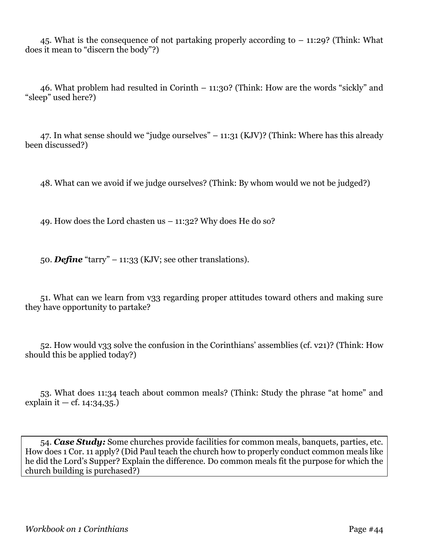45. What is the consequence of not partaking properly according to – 11:29? (Think: What does it mean to "discern the body"?)

46. What problem had resulted in Corinth – 11:30? (Think: How are the words "sickly" and "sleep" used here?)

47. In what sense should we "judge ourselves" – 11:31 (KJV)? (Think: Where has this already been discussed?)

48. What can we avoid if we judge ourselves? (Think: By whom would we not be judged?)

49. How does the Lord chasten us  $-11:32$ ? Why does He do so?

50. *Define* "tarry" – 11:33 (KJV; see other translations).

51. What can we learn from v33 regarding proper attitudes toward others and making sure they have opportunity to partake?

52. How would v33 solve the confusion in the Corinthians' assemblies (cf. v21)? (Think: How should this be applied today?)

53. What does 11:34 teach about common meals? (Think: Study the phrase "at home" and explain it — cf.  $14:34,35$ .

54. *Case Study:* Some churches provide facilities for common meals, banquets, parties, etc. How does 1 Cor. 11 apply? (Did Paul teach the church how to properly conduct common meals like he did the Lord's Supper? Explain the difference. Do common meals fit the purpose for which the church building is purchased?)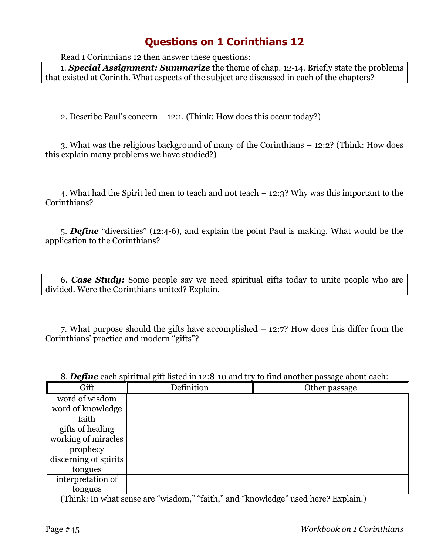Read 1 Corinthians 12 then answer these questions:

1. *Special Assignment: Summarize* the theme of chap. 12-14. Briefly state the problems that existed at Corinth. What aspects of the subject are discussed in each of the chapters?

2. Describe Paul's concern – 12:1. (Think: How does this occur today?)

3. What was the religious background of many of the Corinthians – 12:2? (Think: How does this explain many problems we have studied?)

4. What had the Spirit led men to teach and not teach – 12:3? Why was this important to the Corinthians?

5. *Define* "diversities" (12:4-6), and explain the point Paul is making. What would be the application to the Corinthians?

6. *Case Study:* Some people say we need spiritual gifts today to unite people who are divided. Were the Corinthians united? Explain.

7. What purpose should the gifts have accomplished – 12:7? How does this differ from the Corinthians' practice and modern "gifts"?

|  |  | 8. <b>Define</b> each spiritual gift listed in 12:8-10 and try to find another passage about each: |
|--|--|----------------------------------------------------------------------------------------------------|
|  |  |                                                                                                    |

| Gift                  | Definition | Other passage |
|-----------------------|------------|---------------|
| word of wisdom        |            |               |
| word of knowledge     |            |               |
| faith                 |            |               |
| gifts of healing      |            |               |
| working of miracles   |            |               |
| prophecy              |            |               |
| discerning of spirits |            |               |
| tongues               |            |               |
| interpretation of     |            |               |
| tongues               |            |               |

(Think: In what sense are "wisdom," "faith," and "knowledge" used here? Explain.)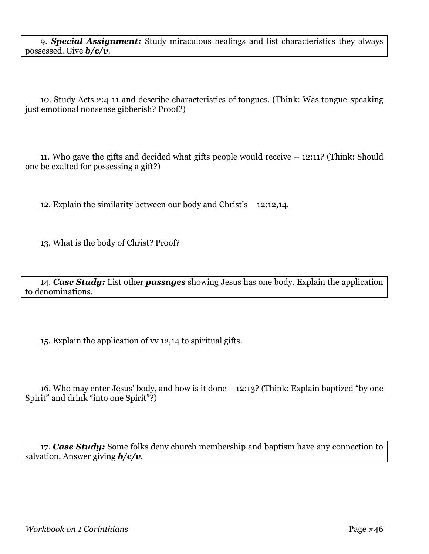9. *Special Assignment:* Study miraculous healings and list characteristics they always possessed. Give *b/c/v*.

10. Study Acts 2:4-11 and describe characteristics of tongues. (Think: Was tongue-speaking just emotional nonsense gibberish? Proof?)

11. Who gave the gifts and decided what gifts people would receive – 12:11? (Think: Should one be exalted for possessing a gift?)

12. Explain the similarity between our body and Christ's – 12:12,14.

13. What is the body of Christ? Proof?

14. *Case Study:* List other *passages* showing Jesus has one body. Explain the application to denominations.

15. Explain the application of vv 12,14 to spiritual gifts.

16. Who may enter Jesus' body, and how is it done – 12:13? (Think: Explain baptized "by one Spirit" and drink "into one Spirit"?)

17. *Case Study:* Some folks deny church membership and baptism have any connection to salvation. Answer giving *b/c/v*.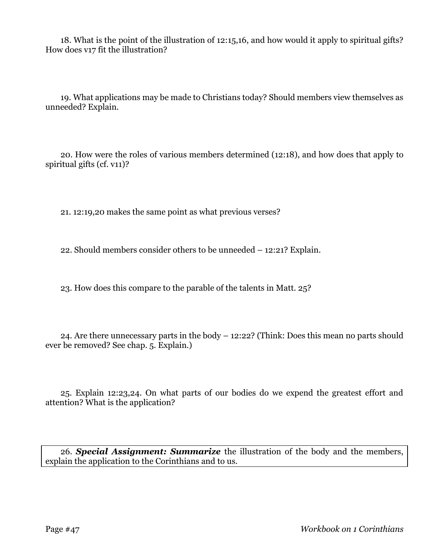18. What is the point of the illustration of 12:15,16, and how would it apply to spiritual gifts? How does v17 fit the illustration?

19. What applications may be made to Christians today? Should members view themselves as unneeded? Explain.

20. How were the roles of various members determined (12:18), and how does that apply to spiritual gifts (cf. v11)?

21. 12:19,20 makes the same point as what previous verses?

22. Should members consider others to be unneeded – 12:21? Explain.

23. How does this compare to the parable of the talents in Matt. 25?

24. Are there unnecessary parts in the body – 12:22? (Think: Does this mean no parts should ever be removed? See chap. 5. Explain.)

25. Explain 12:23,24. On what parts of our bodies do we expend the greatest effort and attention? What is the application?

26. *Special Assignment: Summarize* the illustration of the body and the members, explain the application to the Corinthians and to us.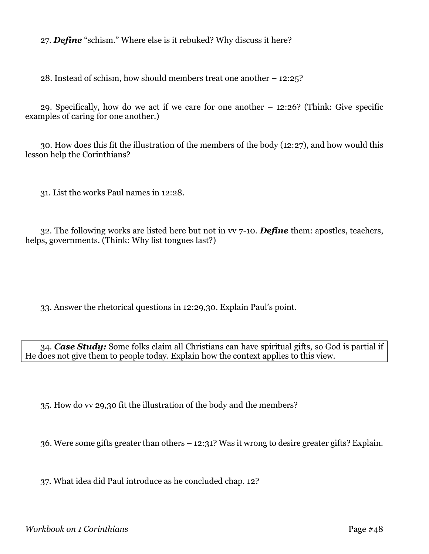27. *Define* "schism." Where else is it rebuked? Why discuss it here?

28. Instead of schism, how should members treat one another – 12:25?

29. Specifically, how do we act if we care for one another – 12:26? (Think: Give specific examples of caring for one another.)

30. How does this fit the illustration of the members of the body (12:27), and how would this lesson help the Corinthians?

31. List the works Paul names in 12:28.

32. The following works are listed here but not in vv 7-10. *Define* them: apostles, teachers, helps, governments. (Think: Why list tongues last?)

33. Answer the rhetorical questions in 12:29,30. Explain Paul's point.

34. *Case Study:* Some folks claim all Christians can have spiritual gifts, so God is partial if He does not give them to people today. Explain how the context applies to this view.

35. How do vv 29,30 fit the illustration of the body and the members?

36. Were some gifts greater than others – 12:31? Was it wrong to desire greater gifts? Explain.

37. What idea did Paul introduce as he concluded chap. 12?

*Workbook on 1 Corinthians* Page #48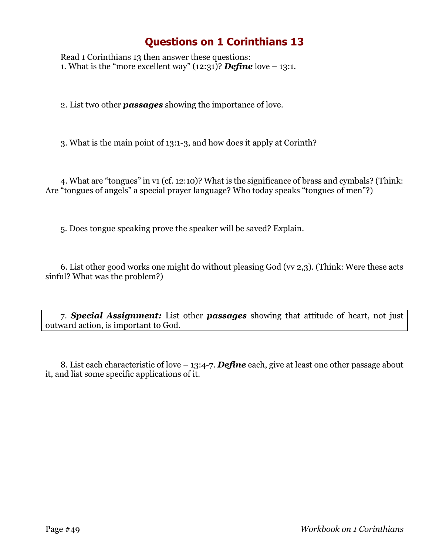Read 1 Corinthians 13 then answer these questions: 1. What is the "more excellent way"  $(12:31)$ ? **Define** love – 13:1.

2. List two other *passages* showing the importance of love.

3. What is the main point of 13:1-3, and how does it apply at Corinth?

4. What are "tongues" in v1 (cf. 12:10)? What is the significance of brass and cymbals? (Think: Are "tongues of angels" a special prayer language? Who today speaks "tongues of men"?)

5. Does tongue speaking prove the speaker will be saved? Explain.

6. List other good works one might do without pleasing God (vv 2,3). (Think: Were these acts sinful? What was the problem?)

7. *Special Assignment:* List other *passages* showing that attitude of heart, not just outward action, is important to God.

8. List each characteristic of love – 13:4-7. *Define* each, give at least one other passage about it, and list some specific applications of it.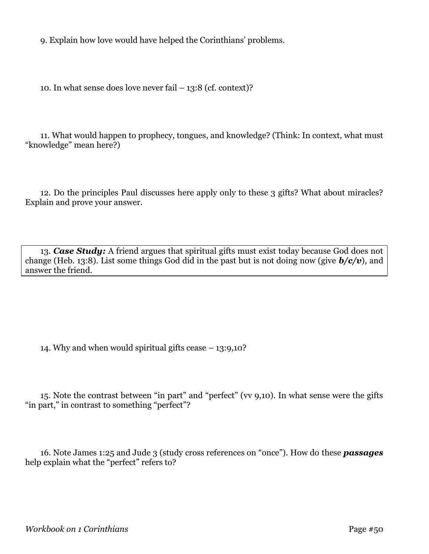9. Explain how love would have helped the Corinthians' problems.

10. In what sense does love never fail  $-13:8$  (cf. context)?

11. What would happen to prophecy, tongues, and knowledge? (Think: In context, what must "knowledge" mean here?)

12. Do the principles Paul discusses here apply only to these 3 gifts? What about miracles? Explain and prove your answer.

13. *Case Study:* A friend argues that spiritual gifts must exist today because God does not change (Heb. 13:8). List some things God did in the past but is not doing now (give *b/c/v*), and answer the friend.

14. Why and when would spiritual gifts cease  $-13:9,10$ ?

15. Note the contrast between "in part" and "perfect" (vv 9,10). In what sense were the gifts "in part," in contrast to something "perfect"?

16. Note James 1:25 and Jude 3 (study cross references on "once"). How do these *passages* help explain what the "perfect" refers to?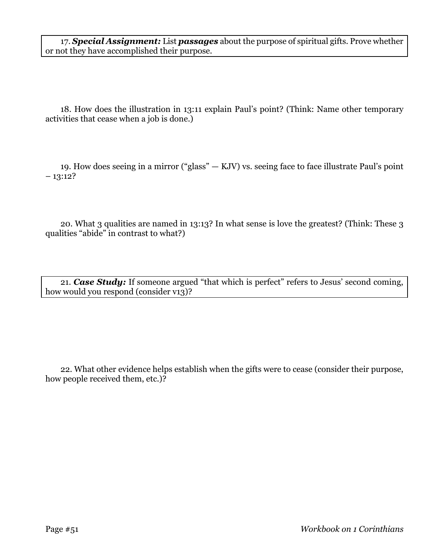17. *Special Assignment:* List *passages* about the purpose of spiritual gifts. Prove whether or not they have accomplished their purpose.

18. How does the illustration in 13:11 explain Paul's point? (Think: Name other temporary activities that cease when a job is done.)

19. How does seeing in a mirror ("glass" — KJV) vs. seeing face to face illustrate Paul's point  $-13:12?$ 

20. What 3 qualities are named in 13:13? In what sense is love the greatest? (Think: These 3 qualities "abide" in contrast to what?)

21. *Case Study:* If someone argued "that which is perfect" refers to Jesus' second coming, how would you respond (consider v13)?

22. What other evidence helps establish when the gifts were to cease (consider their purpose, how people received them, etc.)?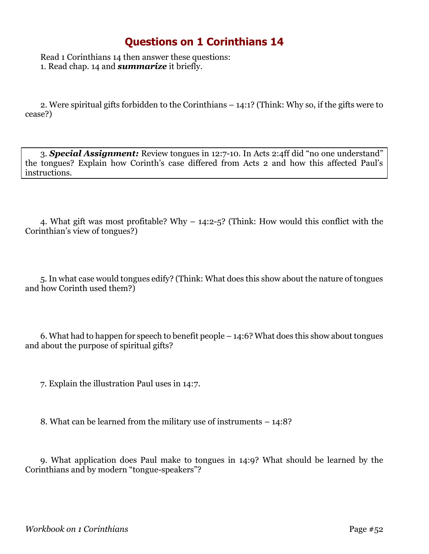Read 1 Corinthians 14 then answer these questions: 1. Read chap. 14 and *summarize* it briefly.

2. Were spiritual gifts forbidden to the Corinthians – 14:1? (Think: Why so, if the gifts were to cease?)

3. *Special Assignment:* Review tongues in 12:7-10. In Acts 2:4ff did "no one understand" the tongues? Explain how Corinth's case differed from Acts 2 and how this affected Paul's instructions.

4. What gift was most profitable? Why – 14:2-5? (Think: How would this conflict with the Corinthian's view of tongues?)

5. In what case would tongues edify? (Think: What does this show about the nature of tongues and how Corinth used them?)

6. What had to happen for speech to benefit people – 14:6? What does this show about tongues and about the purpose of spiritual gifts?

7. Explain the illustration Paul uses in 14:7.

8. What can be learned from the military use of instruments – 14:8?

9. What application does Paul make to tongues in 14:9? What should be learned by the Corinthians and by modern "tongue-speakers"?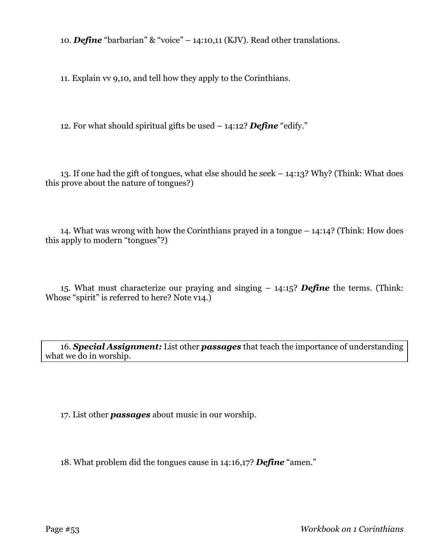10. *Define* "barbarian" & "voice" – 14:10,11 (KJV). Read other translations.

11. Explain vv 9,10, and tell how they apply to the Corinthians.

12. For what should spiritual gifts be used – 14:12? *Define* "edify."

13. If one had the gift of tongues, what else should he seek – 14:13? Why? (Think: What does this prove about the nature of tongues?)

14. What was wrong with how the Corinthians prayed in a tongue – 14:14? (Think: How does this apply to modern "tongues"?)

15. What must characterize our praying and singing – 14:15? *Define* the terms. (Think: Whose "spirit" is referred to here? Note v14.)

16. *Special Assignment:* List other *passages* that teach the importance of understanding what we do in worship.

17. List other *passages* about music in our worship.

18. What problem did the tongues cause in 14:16,17? *Define* "amen."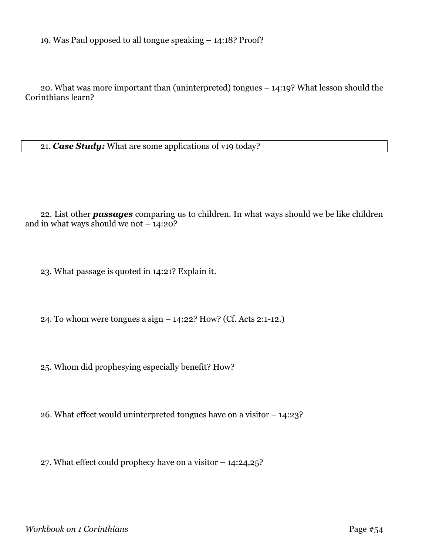19. Was Paul opposed to all tongue speaking – 14:18? Proof?

20. What was more important than (uninterpreted) tongues – 14:19? What lesson should the Corinthians learn?

21. *Case Study:* What are some applications of v19 today?

22. List other *passages* comparing us to children. In what ways should we be like children and in what ways should we not  $-14:20$ ?

23. What passage is quoted in 14:21? Explain it.

24. To whom were tongues a sign – 14:22? How? (Cf. Acts 2:1-12.)

25. Whom did prophesying especially benefit? How?

26. What effect would uninterpreted tongues have on a visitor – 14:23?

27. What effect could prophecy have on a visitor – 14:24,25?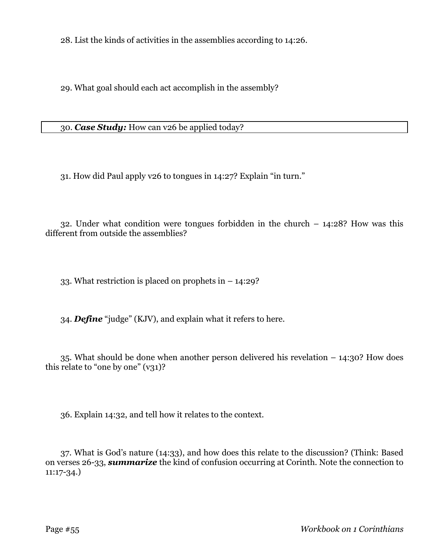28. List the kinds of activities in the assemblies according to 14:26.

29. What goal should each act accomplish in the assembly?

30. *Case Study:* How can v26 be applied today?

31. How did Paul apply v26 to tongues in 14:27? Explain "in turn."

32. Under what condition were tongues forbidden in the church – 14:28? How was this different from outside the assemblies?

33. What restriction is placed on prophets in – 14:29?

34. *Define* "judge" (KJV), and explain what it refers to here.

35. What should be done when another person delivered his revelation – 14:30? How does this relate to "one by one"  $(v31)$ ?

36. Explain 14:32, and tell how it relates to the context.

37. What is God's nature (14:33), and how does this relate to the discussion? (Think: Based on verses 26-33, *summarize* the kind of confusion occurring at Corinth. Note the connection to 11:17-34.)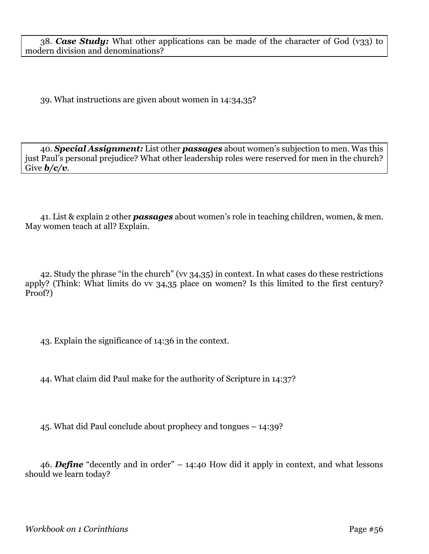38. *Case Study:* What other applications can be made of the character of God (v33) to modern division and denominations?

39. What instructions are given about women in 14:34,35?

40. *Special Assignment:* List other *passages* about women's subjection to men. Was this just Paul's personal prejudice? What other leadership roles were reserved for men in the church? Give *b/c/v*.

41. List & explain 2 other *passages* about women's role in teaching children, women, & men. May women teach at all? Explain.

42. Study the phrase "in the church" (vv 34,35) in context. In what cases do these restrictions apply? (Think: What limits do vv 34,35 place on women? Is this limited to the first century? Proof?)

43. Explain the significance of 14:36 in the context.

44. What claim did Paul make for the authority of Scripture in 14:37?

45. What did Paul conclude about prophecy and tongues – 14:39?

46. *Define* "decently and in order" – 14:40 How did it apply in context, and what lessons should we learn today?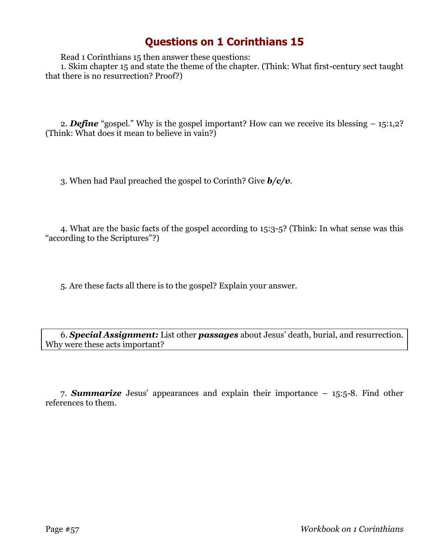Read 1 Corinthians 15 then answer these questions:

1. Skim chapter 15 and state the theme of the chapter. (Think: What first-century sect taught that there is no resurrection? Proof?)

2. *Define* "gospel." Why is the gospel important? How can we receive its blessing – 15:1,2? (Think: What does it mean to believe in vain?)

3. When had Paul preached the gospel to Corinth? Give *b/c/v*.

4. What are the basic facts of the gospel according to 15:3-5? (Think: In what sense was this "according to the Scriptures"?)

5. Are these facts all there is to the gospel? Explain your answer.

6. *Special Assignment:* List other *passages* about Jesus' death, burial, and resurrection. Why were these acts important?

7. *Summarize* Jesus' appearances and explain their importance – 15:5-8. Find other references to them.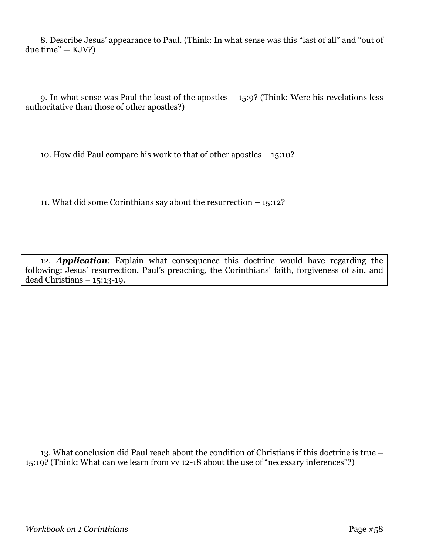8. Describe Jesus' appearance to Paul. (Think: In what sense was this "last of all" and "out of  $due time" - KJV?$ 

9. In what sense was Paul the least of the apostles – 15:9? (Think: Were his revelations less authoritative than those of other apostles?)

10. How did Paul compare his work to that of other apostles – 15:10?

11. What did some Corinthians say about the resurrection – 15:12?

12. *Application*: Explain what consequence this doctrine would have regarding the following: Jesus' resurrection, Paul's preaching, the Corinthians' faith, forgiveness of sin, and dead Christians – 15:13-19.

13. What conclusion did Paul reach about the condition of Christians if this doctrine is true – 15:19? (Think: What can we learn from vv 12-18 about the use of "necessary inferences"?)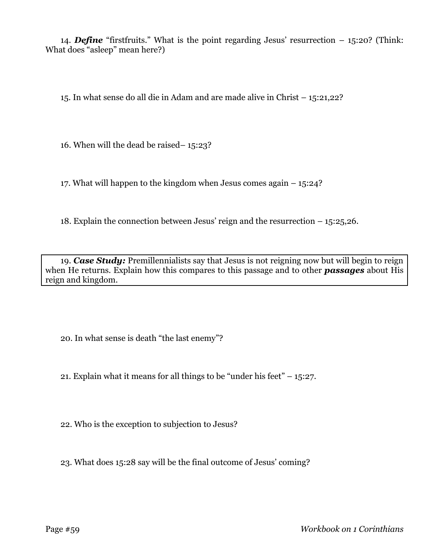14. *Define* "firstfruits." What is the point regarding Jesus' resurrection – 15:20? (Think: What does "asleep" mean here?)

15. In what sense do all die in Adam and are made alive in Christ – 15:21,22?

16. When will the dead be raised– 15:23?

17. What will happen to the kingdom when Jesus comes again – 15:24?

18. Explain the connection between Jesus' reign and the resurrection – 15:25,26.

19. *Case Study:* Premillennialists say that Jesus is not reigning now but will begin to reign when He returns. Explain how this compares to this passage and to other *passages* about His reign and kingdom.

20. In what sense is death "the last enemy"?

21. Explain what it means for all things to be "under his feet"  $-15:27$ .

22. Who is the exception to subjection to Jesus?

23. What does 15:28 say will be the final outcome of Jesus' coming?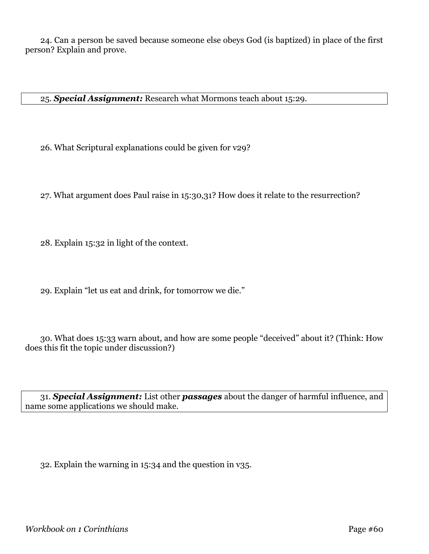24. Can a person be saved because someone else obeys God (is baptized) in place of the first person? Explain and prove.

25. *Special Assignment:* Research what Mormons teach about 15:29.

26. What Scriptural explanations could be given for v29?

27. What argument does Paul raise in 15:30,31? How does it relate to the resurrection?

28. Explain 15:32 in light of the context.

29. Explain "let us eat and drink, for tomorrow we die."

30. What does 15:33 warn about, and how are some people "deceived" about it? (Think: How does this fit the topic under discussion?)

31. *Special Assignment:* List other *passages* about the danger of harmful influence, and name some applications we should make.

32. Explain the warning in 15:34 and the question in v35.

*Workbook on 1 Corinthians* Page #60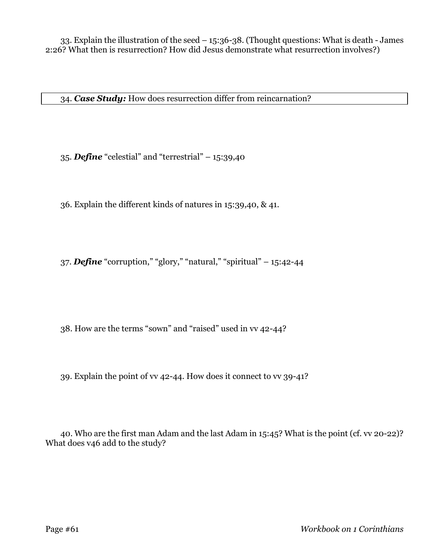34. *Case Study:* How does resurrection differ from reincarnation?

35. *Define* "celestial" and "terrestrial" – 15:39,40

36. Explain the different kinds of natures in 15:39,40, & 41.

37. *Define* "corruption," "glory," "natural," "spiritual" – 15:42-44

38. How are the terms "sown" and "raised" used in vv 42-44?

39. Explain the point of vv 42-44. How does it connect to vv 39-41?

40. Who are the first man Adam and the last Adam in 15:45? What is the point (cf. vv 20-22)? What does v46 add to the study?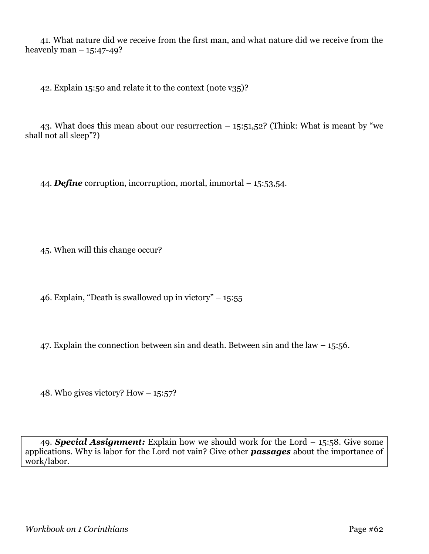41. What nature did we receive from the first man, and what nature did we receive from the heavenly man  $-15:47-49$ ?

42. Explain 15:50 and relate it to the context (note v35)?

43. What does this mean about our resurrection  $-$  15:51,52? (Think: What is meant by "we shall not all sleep"?)

44. *Define* corruption, incorruption, mortal, immortal – 15:53,54.

45. When will this change occur?

46. Explain, "Death is swallowed up in victory"  $-15:55$ 

47. Explain the connection between sin and death. Between sin and the law – 15:56.

48. Who gives victory? How  $-15:57$ ?

49. *Special Assignment:* Explain how we should work for the Lord – 15:58. Give some applications. Why is labor for the Lord not vain? Give other *passages* about the importance of work/labor.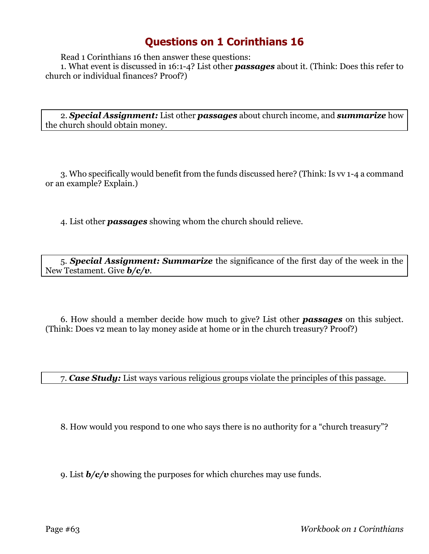Read 1 Corinthians 16 then answer these questions:

1. What event is discussed in 16:1-4? List other *passages* about it. (Think: Does this refer to church or individual finances? Proof?)

2. *Special Assignment:* List other *passages* about church income, and *summarize* how the church should obtain money.

3. Who specifically would benefit from the funds discussed here? (Think: Is vv 1-4 a command or an example? Explain.)

4. List other *passages* showing whom the church should relieve.

5. *Special Assignment: Summarize* the significance of the first day of the week in the New Testament. Give *b/c/v*.

6. How should a member decide how much to give? List other *passages* on this subject. (Think: Does v2 mean to lay money aside at home or in the church treasury? Proof?)

7. *Case Study:* List ways various religious groups violate the principles of this passage.

8. How would you respond to one who says there is no authority for a "church treasury"?

9. List *b/c/v* showing the purposes for which churches may use funds.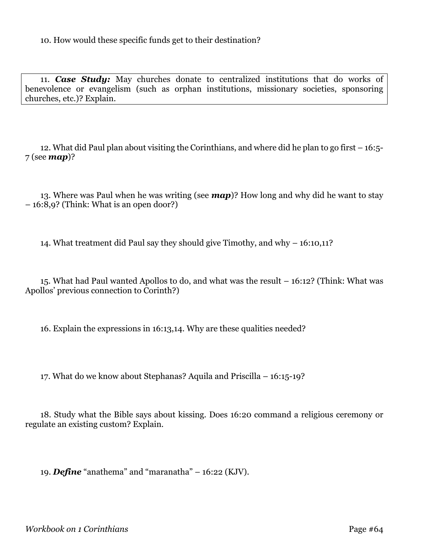10. How would these specific funds get to their destination?

11. *Case Study:* May churches donate to centralized institutions that do works of benevolence or evangelism (such as orphan institutions, missionary societies, sponsoring churches, etc.)? Explain.

12. What did Paul plan about visiting the Corinthians, and where did he plan to go first – 16:5- 7 (see *map*)?

13. Where was Paul when he was writing (see *map*)? How long and why did he want to stay – 16:8,9? (Think: What is an open door?)

14. What treatment did Paul say they should give Timothy, and why – 16:10,11?

15. What had Paul wanted Apollos to do, and what was the result – 16:12? (Think: What was Apollos' previous connection to Corinth?)

16. Explain the expressions in 16:13,14. Why are these qualities needed?

17. What do we know about Stephanas? Aquila and Priscilla – 16:15-19?

18. Study what the Bible says about kissing. Does 16:20 command a religious ceremony or regulate an existing custom? Explain.

19. *Define* "anathema" and "maranatha" – 16:22 (KJV).